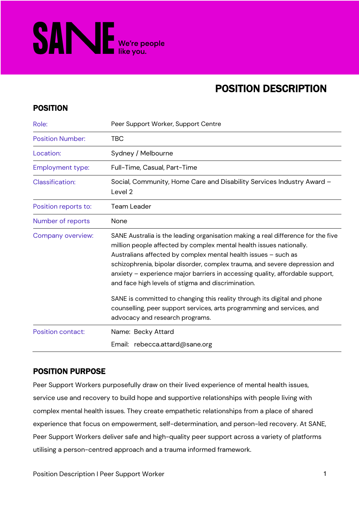

# POSITION DESCRIPTION

### POSITION

| Role:                    | Peer Support Worker, Support Centre                                                                                                                                                                                                                                                                                                                                                                                                                                                                                                                                                                  |  |
|--------------------------|------------------------------------------------------------------------------------------------------------------------------------------------------------------------------------------------------------------------------------------------------------------------------------------------------------------------------------------------------------------------------------------------------------------------------------------------------------------------------------------------------------------------------------------------------------------------------------------------------|--|
| <b>Position Number:</b>  | <b>TBC</b>                                                                                                                                                                                                                                                                                                                                                                                                                                                                                                                                                                                           |  |
| Location:                | Sydney / Melbourne                                                                                                                                                                                                                                                                                                                                                                                                                                                                                                                                                                                   |  |
| <b>Employment type:</b>  | Full-Time, Casual, Part-Time                                                                                                                                                                                                                                                                                                                                                                                                                                                                                                                                                                         |  |
| <b>Classification:</b>   | Social, Community, Home Care and Disability Services Industry Award -<br>Level <sub>2</sub>                                                                                                                                                                                                                                                                                                                                                                                                                                                                                                          |  |
| Position reports to:     | <b>Team Leader</b>                                                                                                                                                                                                                                                                                                                                                                                                                                                                                                                                                                                   |  |
| Number of reports        | None                                                                                                                                                                                                                                                                                                                                                                                                                                                                                                                                                                                                 |  |
| Company overview:        | SANE Australia is the leading organisation making a real difference for the five<br>million people affected by complex mental health issues nationally.<br>Australians affected by complex mental health issues - such as<br>schizophrenia, bipolar disorder, complex trauma, and severe depression and<br>anxiety - experience major barriers in accessing quality, affordable support,<br>and face high levels of stigma and discrimination.<br>SANE is committed to changing this reality through its digital and phone<br>counselling, peer support services, arts programming and services, and |  |
|                          | advocacy and research programs.                                                                                                                                                                                                                                                                                                                                                                                                                                                                                                                                                                      |  |
| <b>Position contact:</b> | Name: Becky Attard                                                                                                                                                                                                                                                                                                                                                                                                                                                                                                                                                                                   |  |
|                          | Email: rebecca.attard@sane.org                                                                                                                                                                                                                                                                                                                                                                                                                                                                                                                                                                       |  |

# POSITION PURPOSE

Peer Support Workers purposefully draw on their lived experience of mental health issues, service use and recovery to build hope and supportive relationships with people living with complex mental health issues. They create empathetic relationships from a place of shared experience that focus on empowerment, self-determination, and person-led recovery. At SANE, Peer Support Workers deliver safe and high-quality peer support across a variety of platforms utilising a person-centred approach and a trauma informed framework.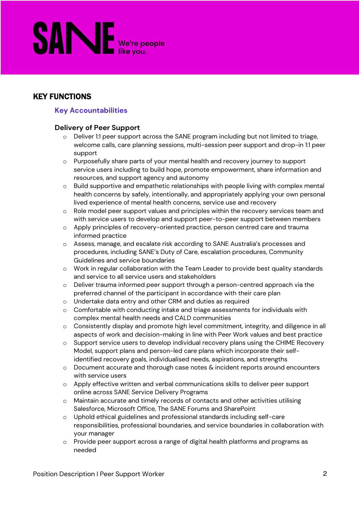# **SANE** We're people

# KEY FUNCTIONS

#### **Key Accountabilities**

#### **Delivery of Peer Support**

- $\circ$  Deliver 1:1 peer support across the SANE program including but not limited to triage, welcome calls, care planning sessions, multi-session peer support and drop-in 1:1 peer support
- o Purposefully share parts of your mental health and recovery journey to support service users including to build hope, promote empowerment, share information and resources, and support agency and autonomy
- o Build supportive and empathetic relationships with people living with complex mental health concerns by safely, intentionally, and appropriately applying your own personal lived experience of mental health concerns, service use and recovery
- o Role model peer support values and principles within the recovery services team and with service users to develop and support peer-to-peer support between members
- o Apply principles of recovery-oriented practice, person centred care and trauma informed practice
- o Assess, manage, and escalate risk according to SANE Australia's processes and procedures, including SANE's Duty of Care, escalation procedures, Community Guidelines and service boundaries
- o Work in regular collaboration with the Team Leader to provide best quality standards and service to all service users and stakeholders
- o Deliver trauma informed peer support through a person-centred approach via the preferred channel of the participant in accordance with their care plan
- o Undertake data entry and other CRM and duties as required
- $\circ$  Comfortable with conducting intake and triage assessments for individuals with complex mental health needs and CALD communities
- o Consistently display and promote high level commitment, integrity, and diligence in all aspects of work and decision-making in line with Peer Work values and best practice
- o Support service users to develop individual recovery plans using the CHIME Recovery Model, support plans and person-led care plans which incorporate their selfidentified recovery goals, individualised needs, aspirations, and strengths
- $\circ$  Document accurate and thorough case notes & incident reports around encounters with service users
- o Apply effective written and verbal communications skills to deliver peer support online across SANE Service Delivery Programs
- $\circ$  Maintain accurate and timely records of contacts and other activities utilising Salesforce, Microsoft Office, The SANE Forums and SharePoint
- o Uphold ethical guidelines and professional standards including self-care responsibilities, professional boundaries, and service boundaries in collaboration with your manager
- o Provide peer support across a range of digital health platforms and programs as needed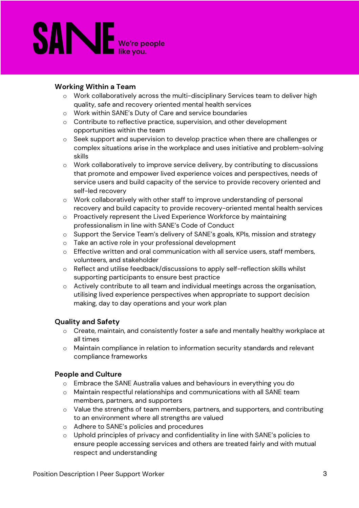

#### **Working Within a Team**

- o Work collaboratively across the multi-disciplinary Services team to deliver high quality, safe and recovery oriented mental health services
- o Work within SANE's Duty of Care and service boundaries
- o Contribute to reflective practice, supervision, and other development opportunities within the team
- o Seek support and supervision to develop practice when there are challenges or complex situations arise in the workplace and uses initiative and problem-solving skills
- o Work collaboratively to improve service delivery, by contributing to discussions that promote and empower lived experience voices and perspectives, needs of service users and build capacity of the service to provide recovery oriented and self-led recovery
- o Work collaboratively with other staff to improve understanding of personal recovery and build capacity to provide recovery-oriented mental health services
- o Proactively represent the Lived Experience Workforce by maintaining professionalism in line with SANE's Code of Conduct
- o Support the Service Team's delivery of SANE's goals, KPIs, mission and strategy
- o Take an active role in your professional development
- $\circ$  Effective written and oral communication with all service users, staff members, volunteers, and stakeholder
- o Reflect and utilise feedback/discussions to apply self-reflection skills whilst supporting participants to ensure best practice
- o Actively contribute to all team and individual meetings across the organisation, utilising lived experience perspectives when appropriate to support decision making, day to day operations and your work plan

#### **Quality and Safety**

- o Create, maintain, and consistently foster a safe and mentally healthy workplace at all times
- o Maintain compliance in relation to information security standards and relevant compliance frameworks

#### **People and Culture**

- o Embrace the SANE Australia values and behaviours in everything you do
- o Maintain respectful relationships and communications with all SANE team members, partners, and supporters
- o Value the strengths of team members, partners, and supporters, and contributing to an environment where all strengths are valued
- o Adhere to SANE's policies and procedures
- o Uphold principles of privacy and confidentiality in line with SANE's policies to ensure people accessing services and others are treated fairly and with mutual respect and understanding